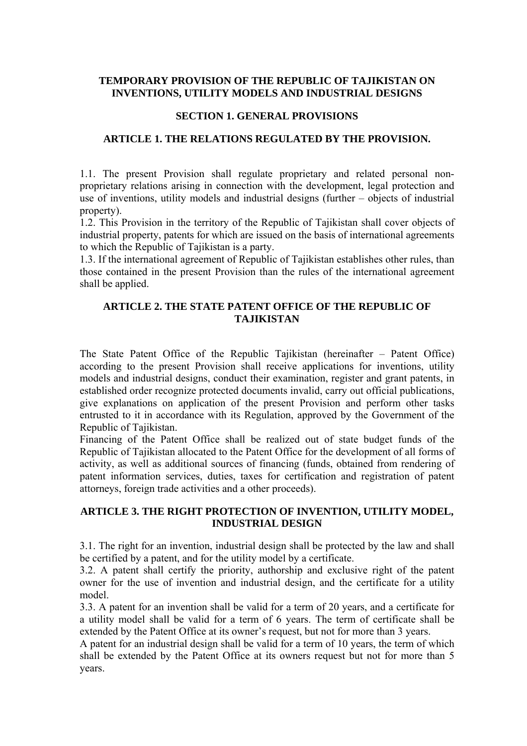### **TEMPORARY PROVISION OF THE REPUBLIC OF TAJIKISTAN ON INVENTIONS, UTILITY MODELS AND INDUSTRIAL DESIGNS**

### **SECTION 1. GENERAL PROVISIONS**

### **ARTICLE 1. THE RELATIONS REGULATED BY THE PROVISION.**

1.1. The present Provision shall regulate proprietary and related personal nonproprietary relations arising in connection with the development, legal protection and use of inventions, utility models and industrial designs (further – objects of industrial property).

1.2. This Provision in the territory of the Republic of Tajikistan shall cover objects of industrial property, patents for which are issued on the basis of international agreements to which the Republic of Tajikistan is a party.

1.3. If the international agreement of Republic of Tajikistan establishes other rules, than those contained in the present Provision than the rules of the international agreement shall be applied.

### **ARTICLE 2. THE STATE PATENT OFFICE OF THE REPUBLIC OF TAJIKISTAN**

The State Patent Office of the Republic Tajikistan (hereinafter – Patent Office) according to the present Provision shall receive applications for inventions, utility models and industrial designs, conduct their examination, register and grant patents, in established order recognize protected documents invalid, carry out official publications, give explanations on application of the present Provision and perform other tasks entrusted to it in accordance with its Regulation, approved by the Government of the Republic of Tajikistan.

Financing of the Patent Office shall be realized out of state budget funds of the Republic of Tajikistan allocated to the Patent Office for the development of all forms of activity, as well as additional sources of financing (funds, obtained from rendering of patent information services, duties, taxes for certification and registration of patent attorneys, foreign trade activities and a other proceeds).

### **ARTICLE 3. THE RIGHT PROTECTION OF INVENTION, UTILITY MODEL, INDUSTRIAL DESIGN**

3.1. The right for an invention, industrial design shall be protected by the law and shall be certified by a patent, and for the utility model by a certificate.

3.2. A patent shall certify the priority, authorship and exclusive right of the patent owner for the use of invention and industrial design, and the certificate for a utility model.

3.3. A patent for an invention shall be valid for a term of 20 years, and a certificate for a utility model shall be valid for a term of 6 years. The term of certificate shall be extended by the Patent Office at its owner's request, but not for more than 3 years.

A patent for an industrial design shall be valid for a term of 10 years, the term of which shall be extended by the Patent Office at its owners request but not for more than 5 years.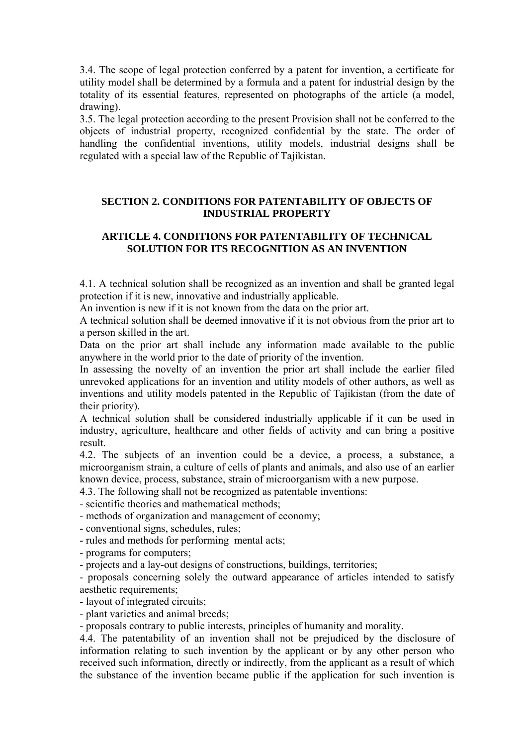3.4. The scope of legal protection conferred by a patent for invention, a certificate for utility model shall be determined by a formula and a patent for industrial design by the totality of its essential features, represented on photographs of the article (a model, drawing).

3.5. The legal protection according to the present Provision shall not be conferred to the objects of industrial property, recognized confidential by the state. The order of handling the confidential inventions, utility models, industrial designs shall be regulated with a special law of the Republic of Tajikistan.

## **SECTION 2. CONDITIONS FOR PATENTABILITY OF OBJECTS OF INDUSTRIAL PROPERTY**

# **ARTICLE 4. CONDITIONS FOR PATENTABILITY OF TECHNICAL SOLUTION FOR ITS RECOGNITION AS AN INVENTION**

4.1. A technical solution shall be recognized as an invention and shall be granted legal protection if it is new, innovative and industrially applicable.

An invention is new if it is not known from the data on the prior art.

A technical solution shall be deemed innovative if it is not obvious from the prior art to a person skilled in the art.

Data on the prior art shall include any information made available to the public anywhere in the world prior to the date of priority of the invention.

In assessing the novelty of an invention the prior art shall include the earlier filed unrevoked applications for an invention and utility models of other authors, as well as inventions and utility models patented in the Republic of Tajikistan (from the date of their priority).

A technical solution shall be considered industrially applicable if it can be used in industry, agriculture, healthcare and other fields of activity and can bring a positive result.

4.2. The subjects of an invention could be a device, a process, a substance, a microorganism strain, a culture of cells of plants and animals, and also use of an earlier known device, process, substance, strain of microorganism with a new purpose.

4.3. The following shall not be recognized as patentable inventions:

- scientific theories and mathematical methods;

- methods of organization and management of economy;

- conventional signs, schedules, rules;

- rules and methods for performing mental acts;

- programs for computers;

- projects and a lay-out designs of constructions, buildings, territories;

- proposals concerning solely the outward appearance of articles intended to satisfy aesthetic requirements;

- layout of integrated circuits;

- plant varieties and animal breeds;

- proposals contrary to public interests, principles of humanity and morality.

4.4. The patentability of an invention shall not be prejudiced by the disclosure of information relating to such invention by the applicant or by any other person who received such information, directly or indirectly, from the applicant as a result of which the substance of the invention became public if the application for such invention is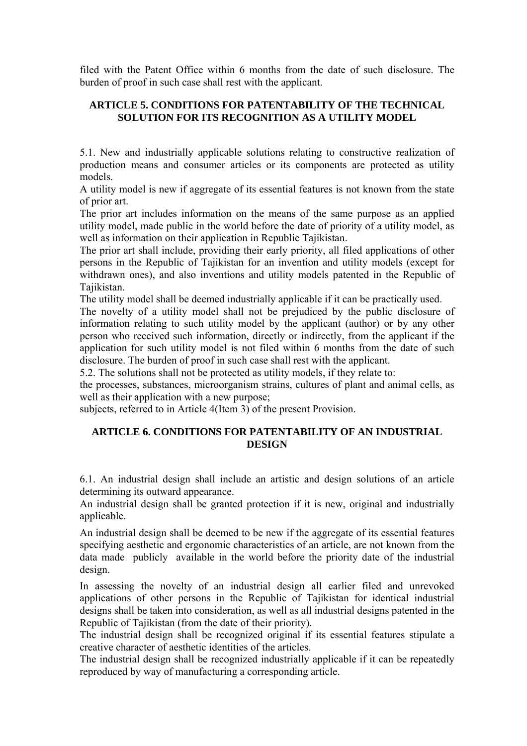filed with the Patent Office within 6 months from the date of such disclosure. The burden of proof in such case shall rest with the applicant.

# **ARTICLE 5. CONDITIONS FOR PATENTABILITY OF THE TECHNICAL SOLUTION FOR ITS RECOGNITION AS A UTILITY MODEL**

5.1. New and industrially applicable solutions relating to constructive realization of production means and consumer articles or its components are protected as utility models.

A utility model is new if aggregate of its essential features is not known from the state of prior art.

The prior art includes information on the means of the same purpose as an applied utility model, made public in the world before the date of priority of a utility model, as well as information on their application in Republic Tajikistan.

The prior art shall include, providing their early priority, all filed applications of other persons in the Republic of Tajikistan for an invention and utility models (except for withdrawn ones), and also inventions and utility models patented in the Republic of Tajikistan.

The utility model shall be deemed industrially applicable if it can be practically used.

The novelty of a utility model shall not be prejudiced by the public disclosure of information relating to such utility model by the applicant (author) or by any other person who received such information, directly or indirectly, from the applicant if the application for such utility model is not filed within 6 months from the date of such disclosure. The burden of proof in such case shall rest with the applicant.

5.2. The solutions shall not be protected as utility models, if they relate to:

the processes, substances, microorganism strains, cultures of plant and animal cells, as well as their application with a new purpose;

subjects, referred to in Article 4(Item 3) of the present Provision.

# **ARTICLE 6. CONDITIONS FOR PATENTABILITY OF AN INDUSTRIAL DESIGN**

6.1. An industrial design shall include an artistic and design solutions of an article determining its outward appearance.

An industrial design shall be granted protection if it is new, original and industrially applicable.

An industrial design shall be deemed to be new if the aggregate of its essential features specifying aesthetic and ergonomic characteristics of an article, are not known from the data made publicly available in the world before the priority date of the industrial design.

In assessing the novelty of an industrial design all earlier filed and unrevoked applications of other persons in the Republic of Tajikistan for identical industrial designs shall be taken into consideration, as well as all industrial designs patented in the Republic of Tajikistan (from the date of their priority).

The industrial design shall be recognized original if its essential features stipulate a creative character of aesthetic identities of the articles.

The industrial design shall be recognized industrially applicable if it can be repeatedly reproduced by way of manufacturing a corresponding article.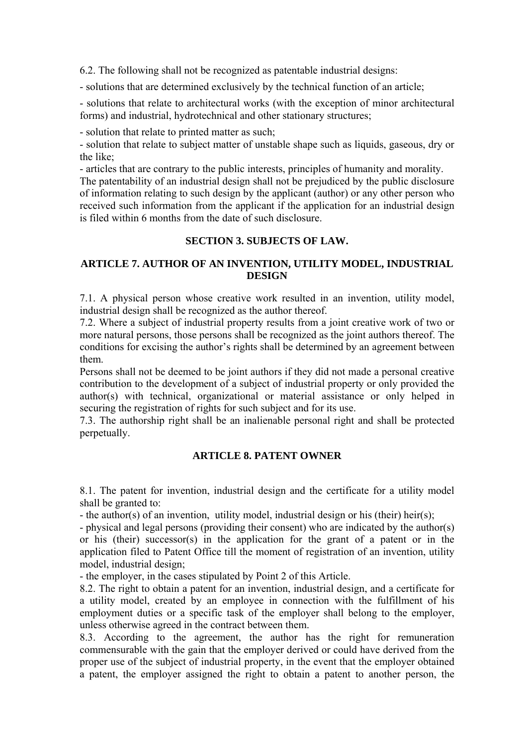6.2. The following shall not be recognized as patentable industrial designs:

- solutions that are determined exclusively by the technical function of an article;

- solutions that relate to architectural works (with the exception of minor architectural forms) and industrial, hydrotechnical and other stationary structures;

- solution that relate to printed matter as such;

- solution that relate to subject matter of unstable shape such as liquids, gaseous, dry or the like;

- articles that are contrary to the public interests, principles of humanity and morality. The patentability of an industrial design shall not be prejudiced by the public disclosure of information relating to such design by the applicant (author) or any other person who received such information from the applicant if the application for an industrial design is filed within 6 months from the date of such disclosure.

# **SECTION 3. SUBJECTS OF LAW.**

# **ARTICLE 7. AUTHOR OF AN INVENTION, UTILITY MODEL, INDUSTRIAL DESIGN**

7.1. A physical person whose creative work resulted in an invention, utility model, industrial design shall be recognized as the author thereof.

7.2. Where a subject of industrial property results from a joint creative work of two or more natural persons, those persons shall be recognized as the joint authors thereof. The conditions for excising the author's rights shall be determined by an agreement between them.

Persons shall not be deemed to be joint authors if they did not made a personal creative contribution to the development of a subject of industrial property or only provided the author(s) with technical, organizational or material assistance or only helped in securing the registration of rights for such subject and for its use.

7.3. The authorship right shall be an inalienable personal right and shall be protected perpetually.

# **ARTICLE 8. PATENT OWNER**

8.1. The patent for invention, industrial design and the certificate for a utility model shall be granted to:

- the author(s) of an invention, utility model, industrial design or his (their) heir(s);

- physical and legal persons (providing their consent) who are indicated by the author(s) or his (their) successor(s) in the application for the grant of a patent or in the application filed to Patent Office till the moment of registration of an invention, utility model, industrial design;

- the employer, in the cases stipulated by Point 2 of this Article.

8.2. The right to obtain a patent for an invention, industrial design, and a certificate for a utility model, created by an employee in connection with the fulfillment of his employment duties or a specific task of the employer shall belong to the employer, unless otherwise agreed in the contract between them.

8.3. According to the agreement, the author has the right for remuneration commensurable with the gain that the employer derived or could have derived from the proper use of the subject of industrial property, in the event that the employer obtained a patent, the employer assigned the right to obtain a patent to another person, the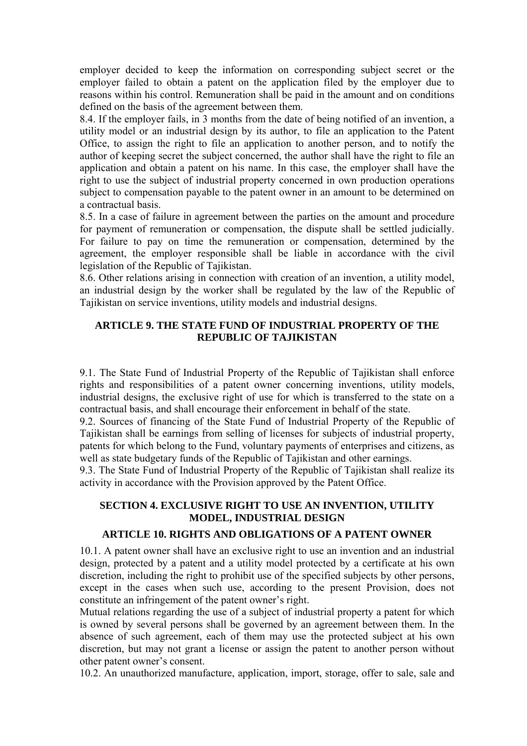employer decided to keep the information on corresponding subject secret or the employer failed to obtain a patent on the application filed by the employer due to reasons within his control. Remuneration shall be paid in the amount and on conditions defined on the basis of the agreement between them.

8.4. If the employer fails, in 3 months from the date of being notified of an invention, a utility model or an industrial design by its author, to file an application to the Patent Office, to assign the right to file an application to another person, and to notify the author of keeping secret the subject concerned, the author shall have the right to file an application and obtain a patent on his name. In this case, the employer shall have the right to use the subject of industrial property concerned in own production operations subject to compensation payable to the patent owner in an amount to be determined on a contractual basis.

8.5. In a case of failure in agreement between the parties on the amount and procedure for payment of remuneration or compensation, the dispute shall be settled judicially. For failure to pay on time the remuneration or compensation, determined by the agreement, the employer responsible shall be liable in accordance with the civil legislation of the Republic of Tajikistan.

8.6. Other relations arising in connection with creation of an invention, a utility model, an industrial design by the worker shall be regulated by the law of the Republic of Tajikistan on service inventions, utility models and industrial designs.

# **ARTICLE 9. THE STATE FUND OF INDUSTRIAL PROPERTY OF THE REPUBLIC OF TAJIKISTAN**

9.1. The State Fund of Industrial Property of the Republic of Tajikistan shall enforce rights and responsibilities of a patent owner concerning inventions, utility models, industrial designs, the exclusive right of use for which is transferred to the state on a contractual basis, and shall encourage their enforcement in behalf of the state.

9.2. Sources of financing of the State Fund of Industrial Property of the Republic of Tajikistan shall be earnings from selling of licenses for subjects of industrial property, patents for which belong to the Fund, voluntary payments of enterprises and citizens, as well as state budgetary funds of the Republic of Tajikistan and other earnings.

9.3. The State Fund of Industrial Property of the Republic of Tajikistan shall realize its activity in accordance with the Provision approved by the Patent Office.

# **SECTION 4. EXCLUSIVE RIGHT TO USE AN INVENTION, UTILITY MODEL, INDUSTRIAL DESIGN**

### **ARTICLE 10. RIGHTS AND OBLIGATIONS OF A PATENT OWNER**

10.1. A patent owner shall have an exclusive right to use an invention and an industrial design, protected by a patent and a utility model protected by a certificate at his own discretion, including the right to prohibit use of the specified subjects by other persons, except in the cases when such use, according to the present Provision, does not constitute an infringement of the patent owner's right.

Mutual relations regarding the use of a subject of industrial property a patent for which is owned by several persons shall be governed by an agreement between them. In the absence of such agreement, each of them may use the protected subject at his own discretion, but may not grant a license or assign the patent to another person without other patent owner's consent.

10.2. An unauthorized manufacture, application, import, storage, offer to sale, sale and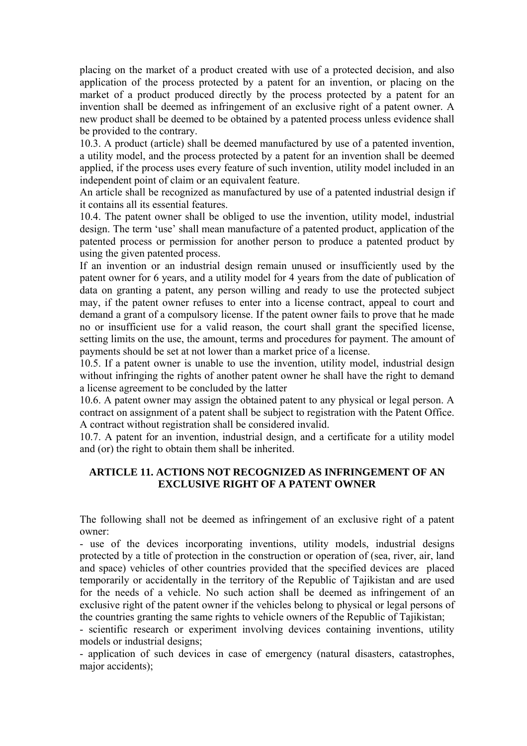placing on the market of a product created with use of a protected decision, and also application of the process protected by a patent for an invention, or placing on the market of a product produced directly by the process protected by a patent for an invention shall be deemed as infringement of an exclusive right of a patent owner. A new product shall be deemed to be obtained by a patented process unless evidence shall be provided to the contrary.

10.3. A product (article) shall be deemed manufactured by use of a patented invention, a utility model, and the process protected by a patent for an invention shall be deemed applied, if the process uses every feature of such invention, utility model included in an independent point of claim or an equivalent feature.

An article shall be recognized as manufactured by use of a patented industrial design if it contains all its essential features.

10.4. The patent owner shall be obliged to use the invention, utility model, industrial design. The term 'use' shall mean manufacture of a patented product, application of the patented process or permission for another person to produce a patented product by using the given patented process.

If an invention or an industrial design remain unused or insufficiently used by the patent owner for 6 years, and a utility model for 4 years from the date of publication of data on granting a patent, any person willing and ready to use the protected subject may, if the patent owner refuses to enter into a license contract, appeal to court and demand a grant of a compulsory license. If the patent owner fails to prove that he made no or insufficient use for a valid reason, the court shall grant the specified license, setting limits on the use, the amount, terms and procedures for payment. The amount of payments should be set at not lower than a market price of a license.

10.5. If a patent owner is unable to use the invention, utility model, industrial design without infringing the rights of another patent owner he shall have the right to demand a license agreement to be concluded by the latter

10.6. A patent owner may assign the obtained patent to any physical or legal person. A contract on assignment of a patent shall be subject to registration with the Patent Office. A contract without registration shall be considered invalid.

10.7. A patent for an invention, industrial design, and a certificate for a utility model and (or) the right to obtain them shall be inherited.

## **ARTICLE 11. ACTIONS NOT RECOGNIZED AS INFRINGEMENT OF AN EXCLUSIVE RIGHT OF A PATENT OWNER**

The following shall not be deemed as infringement of an exclusive right of a patent owner:

- use of the devices incorporating inventions, utility models, industrial designs protected by a title of protection in the construction or operation of (sea, river, air, land and space) vehicles of other countries provided that the specified devices are placed temporarily or accidentally in the territory of the Republic of Tajikistan and are used for the needs of a vehicle. No such action shall be deemed as infringement of an exclusive right of the patent owner if the vehicles belong to physical or legal persons of the countries granting the same rights to vehicle owners of the Republic of Tajikistan;

- scientific research or experiment involving devices containing inventions, utility models or industrial designs;

- application of such devices in case of emergency (natural disasters, catastrophes, major accidents);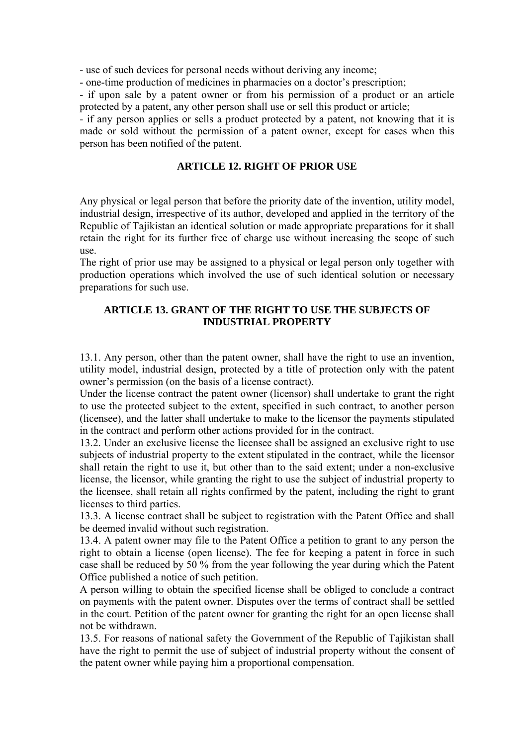- use of such devices for personal needs without deriving any income;

- one-time production of medicines in pharmacies on a doctor's prescription;

- if upon sale by a patent owner or from his permission of a product or an article protected by a patent, any other person shall use or sell this product or article;

- if any person applies or sells a product protected by a patent, not knowing that it is made or sold without the permission of a patent owner, except for cases when this person has been notified of the patent.

### **ARTICLE 12. RIGHT OF PRIOR USE**

Any physical or legal person that before the priority date of the invention, utility model, industrial design, irrespective of its author, developed and applied in the territory of the Republic of Tajikistan an identical solution or made appropriate preparations for it shall retain the right for its further free of charge use without increasing the scope of such use.

The right of prior use may be assigned to a physical or legal person only together with production operations which involved the use of such identical solution or necessary preparations for such use.

## **ARTICLE 13. GRANT OF THE RIGHT TO USE THE SUBJECTS OF INDUSTRIAL PROPERTY**

13.1. Any person, other than the patent owner, shall have the right to use an invention, utility model, industrial design, protected by a title of protection only with the patent owner's permission (on the basis of a license contract).

Under the license contract the patent owner (licensor) shall undertake to grant the right to use the protected subject to the extent, specified in such contract, to another person (licensee), and the latter shall undertake to make to the licensor the payments stipulated in the contract and perform other actions provided for in the contract.

13.2. Under an exclusive license the licensee shall be assigned an exclusive right to use subjects of industrial property to the extent stipulated in the contract, while the licensor shall retain the right to use it, but other than to the said extent; under a non-exclusive license, the licensor, while granting the right to use the subject of industrial property to the licensee, shall retain all rights confirmed by the patent, including the right to grant licenses to third parties.

13.3. A license contract shall be subject to registration with the Patent Office and shall be deemed invalid without such registration.

13.4. A patent owner may file to the Patent Office a petition to grant to any person the right to obtain a license (open license). The fee for keeping a patent in force in such case shall be reduced by 50 % from the year following the year during which the Patent Office published a notice of such petition.

A person willing to obtain the specified license shall be obliged to conclude a contract on payments with the patent owner. Disputes over the terms of contract shall be settled in the court. Petition of the patent owner for granting the right for an open license shall not be withdrawn.

13.5. For reasons of national safety the Government of the Republic of Tajikistan shall have the right to permit the use of subject of industrial property without the consent of the patent owner while paying him a proportional compensation.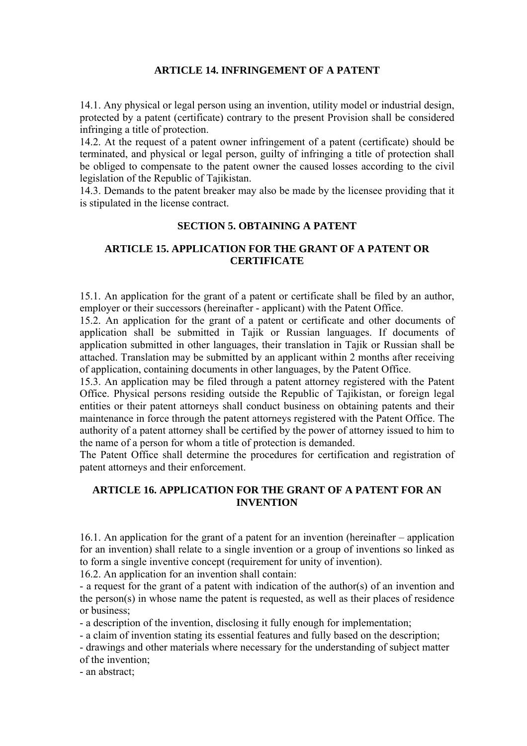### **ARTICLE 14. INFRINGEMENT OF A PATENT**

14.1. Any physical or legal person using an invention, utility model or industrial design, protected by a patent (certificate) contrary to the present Provision shall be considered infringing a title of protection.

14.2. At the request of a patent owner infringement of a patent (certificate) should be terminated, and physical or legal person, guilty of infringing a title of protection shall be obliged to compensate to the patent owner the caused losses according to the civil legislation of the Republic of Tajikistan.

14.3. Demands to the patent breaker may also be made by the licensee providing that it is stipulated in the license contract.

### **SECTION 5. OBTAINING A PATENT**

## **ARTICLE 15. APPLICATION FOR THE GRANT OF A PATENT OR CERTIFICATE**

15.1. An application for the grant of a patent or certificate shall be filed by an author, employer or their successors (hereinafter - applicant) with the Patent Office.

15.2. An application for the grant of a patent or certificate and other documents of application shall be submitted in Tajik or Russian languages. If documents of application submitted in other languages, their translation in Tajik or Russian shall be attached. Translation may be submitted by an applicant within 2 months after receiving of application, containing documents in other languages, by the Patent Office.

15.3. An application may be filed through a patent attorney registered with the Patent Office. Physical persons residing outside the Republic of Tajikistan, or foreign legal entities or their patent attorneys shall conduct business on obtaining patents and their maintenance in force through the patent attorneys registered with the Patent Office. The authority of a patent attorney shall be certified by the power of attorney issued to him to the name of a person for whom a title of protection is demanded.

The Patent Office shall determine the procedures for certification and registration of patent attorneys and their enforcement.

### **ARTICLE 16. APPLICATION FOR THE GRANT OF A PATENT FOR AN INVENTION**

16.1. An application for the grant of a patent for an invention (hereinafter – application for an invention) shall relate to a single invention or a group of inventions so linked as to form a single inventive concept (requirement for unity of invention).

16.2. An application for an invention shall contain:

- a request for the grant of a patent with indication of the author(s) of an invention and the person(s) in whose name the patent is requested, as well as their places of residence or business;

- a description of the invention, disclosing it fully enough for implementation;

- a claim of invention stating its essential features and fully based on the description;

- drawings and other materials where necessary for the understanding of subject matter of the invention;

- an abstract;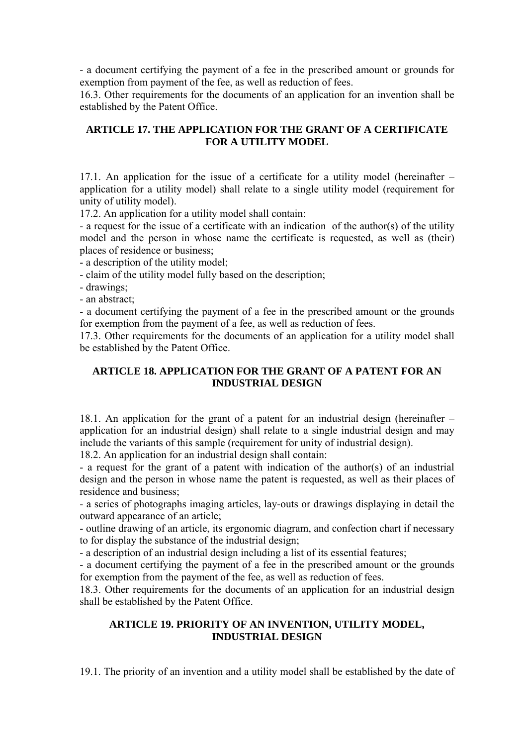- a document certifying the payment of a fee in the prescribed amount or grounds for exemption from payment of the fee, as well as reduction of fees.

16.3. Other requirements for the documents of an application for an invention shall be established by the Patent Office.

## **ARTICLE 17. THE APPLICATION FOR THE GRANT OF A CERTIFICATE FOR A UTILITY MODEL**

17.1. An application for the issue of a certificate for a utility model (hereinafter – application for a utility model) shall relate to a single utility model (requirement for unity of utility model).

17.2. An application for a utility model shall contain:

- a request for the issue of a certificate with an indication of the author(s) of the utility model and the person in whose name the certificate is requested, as well as (their) places of residence or business;

- a description of the utility model;

- claim of the utility model fully based on the description;

- drawings;

- an abstract;

- a document certifying the payment of a fee in the prescribed amount or the grounds for exemption from the payment of a fee, as well as reduction of fees.

17.3. Other requirements for the documents of an application for a utility model shall be established by the Patent Office.

### **ARTICLE 18. APPLICATION FOR THE GRANT OF A PATENT FOR AN INDUSTRIAL DESIGN**

18.1. An application for the grant of a patent for an industrial design (hereinafter – application for an industrial design) shall relate to a single industrial design and may include the variants of this sample (requirement for unity of industrial design).

18.2. An application for an industrial design shall contain:

- a request for the grant of a patent with indication of the author(s) of an industrial design and the person in whose name the patent is requested, as well as their places of residence and business;

- a series of photographs imaging articles, lay-outs or drawings displaying in detail the outward appearance of an article;

- outline drawing of an article, its ergonomic diagram, and confection chart if necessary to for display the substance of the industrial design;

- a description of an industrial design including a list of its essential features;

- a document certifying the payment of a fee in the prescribed amount or the grounds for exemption from the payment of the fee, as well as reduction of fees.

18.3. Other requirements for the documents of an application for an industrial design shall be established by the Patent Office.

## **ARTICLE 19. PRIORITY OF AN INVENTION, UTILITY MODEL, INDUSTRIAL DESIGN**

19.1. The priority of an invention and a utility model shall be established by the date of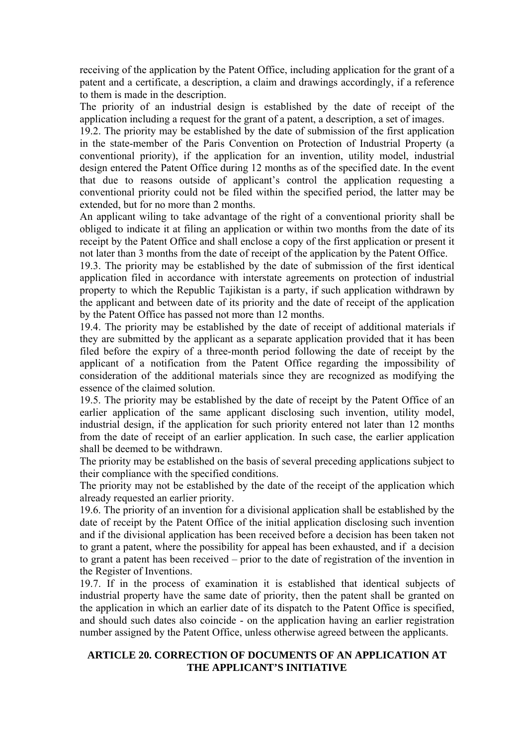receiving of the application by the Patent Office, including application for the grant of a patent and a certificate, a description, a claim and drawings accordingly, if a reference to them is made in the description.

The priority of an industrial design is established by the date of receipt of the application including a request for the grant of a patent, a description, a set of images.

19.2. The priority may be established by the date of submission of the first application in the state-member of the Paris Convention on Protection of Industrial Property (a conventional priority), if the application for an invention, utility model, industrial design entered the Patent Office during 12 months as of the specified date. In the event that due to reasons outside of applicant's control the application requesting a conventional priority could not be filed within the specified period, the latter may be extended, but for no more than 2 months.

An applicant wiling to take advantage of the right of a conventional priority shall be obliged to indicate it at filing an application or within two months from the date of its receipt by the Patent Office and shall enclose a copy of the first application or present it not later than 3 months from the date of receipt of the application by the Patent Office.

19.3. The priority may be established by the date of submission of the first identical application filed in accordance with interstate agreements on protection of industrial property to which the Republic Tajikistan is a party, if such application withdrawn by the applicant and between date of its priority and the date of receipt of the application by the Patent Office has passed not more than 12 months.

19.4. The priority may be established by the date of receipt of additional materials if they are submitted by the applicant as a separate application provided that it has been filed before the expiry of a three-month period following the date of receipt by the applicant of a notification from the Patent Office regarding the impossibility of consideration of the additional materials since they are recognized as modifying the essence of the claimed solution.

19.5. The priority may be established by the date of receipt by the Patent Office of an earlier application of the same applicant disclosing such invention, utility model, industrial design, if the application for such priority entered not later than 12 months from the date of receipt of an earlier application. In such case, the earlier application shall be deemed to be withdrawn.

The priority may be established on the basis of several preceding applications subject to their compliance with the specified conditions.

The priority may not be established by the date of the receipt of the application which already requested an earlier priority.

19.6. The priority of an invention for a divisional application shall be established by the date of receipt by the Patent Office of the initial application disclosing such invention and if the divisional application has been received before a decision has been taken not to grant a patent, where the possibility for appeal has been exhausted, and if a decision to grant a patent has been received – prior to the date of registration of the invention in the Register of Inventions.

19.7. If in the process of examination it is established that identical subjects of industrial property have the same date of priority, then the patent shall be granted on the application in which an earlier date of its dispatch to the Patent Office is specified, and should such dates also coincide - on the application having an earlier registration number assigned by the Patent Office, unless otherwise agreed between the applicants.

## **ARTICLE 20. CORRECTION OF DOCUMENTS OF AN APPLICATION AT THE APPLICANT'S INITIATIVE**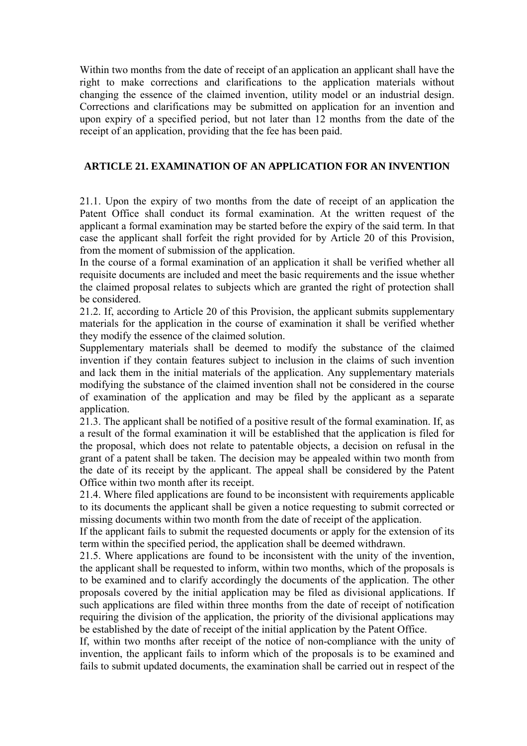Within two months from the date of receipt of an application an applicant shall have the right to make corrections and clarifications to the application materials without changing the essence of the claimed invention, utility model or an industrial design. Corrections and clarifications may be submitted on application for an invention and upon expiry of a specified period, but not later than 12 months from the date of the receipt of an application, providing that the fee has been paid.

# **ARTICLE 21. EXAMINATION OF AN APPLICATION FOR AN INVENTION**

21.1. Upon the expiry of two months from the date of receipt of an application the Patent Office shall conduct its formal examination. At the written request of the applicant a formal examination may be started before the expiry of the said term. In that case the applicant shall forfeit the right provided for by Article 20 of this Provision, from the moment of submission of the application.

In the course of a formal examination of an application it shall be verified whether all requisite documents are included and meet the basic requirements and the issue whether the claimed proposal relates to subjects which are granted the right of protection shall be considered.

21.2. If, according to Article 20 of this Provision, the applicant submits supplementary materials for the application in the course of examination it shall be verified whether they modify the essence of the claimed solution.

Supplementary materials shall be deemed to modify the substance of the claimed invention if they contain features subject to inclusion in the claims of such invention and lack them in the initial materials of the application. Any supplementary materials modifying the substance of the claimed invention shall not be considered in the course of examination of the application and may be filed by the applicant as a separate application.

21.3. The applicant shall be notified of a positive result of the formal examination. If, as a result of the formal examination it will be established that the application is filed for the proposal, which does not relate to patentable objects, a decision on refusal in the grant of a patent shall be taken. The decision may be appealed within two month from the date of its receipt by the applicant. The appeal shall be considered by the Patent Office within two month after its receipt.

21.4. Where filed applications are found to be inconsistent with requirements applicable to its documents the applicant shall be given a notice requesting to submit corrected or missing documents within two month from the date of receipt of the application.

If the applicant fails to submit the requested documents or apply for the extension of its term within the specified period, the application shall be deemed withdrawn.

21.5. Where applications are found to be inconsistent with the unity of the invention, the applicant shall be requested to inform, within two months, which of the proposals is to be examined and to clarify accordingly the documents of the application. The other proposals covered by the initial application may be filed as divisional applications. If such applications are filed within three months from the date of receipt of notification requiring the division of the application, the priority of the divisional applications may be established by the date of receipt of the initial application by the Patent Office.

If, within two months after receipt of the notice of non-compliance with the unity of invention, the applicant fails to inform which of the proposals is to be examined and fails to submit updated documents, the examination shall be carried out in respect of the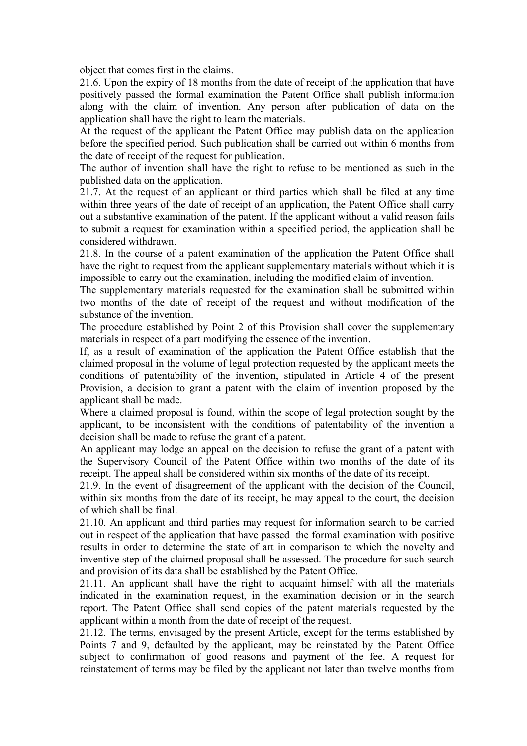object that comes first in the claims.

21.6. Upon the expiry of 18 months from the date of receipt of the application that have positively passed the formal examination the Patent Office shall publish information along with the claim of invention. Any person after publication of data on the application shall have the right to learn the materials.

At the request of the applicant the Patent Office may publish data on the application before the specified period. Such publication shall be carried out within 6 months from the date of receipt of the request for publication.

The author of invention shall have the right to refuse to be mentioned as such in the published data on the application.

21.7. At the request of an applicant or third parties which shall be filed at any time within three years of the date of receipt of an application, the Patent Office shall carry out a substantive examination of the patent. If the applicant without a valid reason fails to submit a request for examination within a specified period, the application shall be considered withdrawn.

21.8. In the course of a patent examination of the application the Patent Office shall have the right to request from the applicant supplementary materials without which it is impossible to carry out the examination, including the modified claim of invention.

The supplementary materials requested for the examination shall be submitted within two months of the date of receipt of the request and without modification of the substance of the invention.

The procedure established by Point 2 of this Provision shall cover the supplementary materials in respect of a part modifying the essence of the invention.

If, as a result of examination of the application the Patent Office establish that the claimed proposal in the volume of legal protection requested by the applicant meets the conditions of patentability of the invention, stipulated in Article 4 of the present Provision, a decision to grant a patent with the claim of invention proposed by the applicant shall be made.

Where a claimed proposal is found, within the scope of legal protection sought by the applicant, to be inconsistent with the conditions of patentability of the invention a decision shall be made to refuse the grant of a patent.

An applicant may lodge an appeal on the decision to refuse the grant of a patent with the Supervisory Council of the Patent Office within two months of the date of its receipt. The appeal shall be considered within six months of the date of its receipt.

21.9. In the event of disagreement of the applicant with the decision of the Council, within six months from the date of its receipt, he may appeal to the court, the decision of which shall be final.

21.10. An applicant and third parties may request for information search to be carried out in respect of the application that have passed the formal examination with positive results in order to determine the state of art in comparison to which the novelty and inventive step of the claimed proposal shall be assessed. The procedure for such search and provision of its data shall be established by the Patent Office.

21.11. An applicant shall have the right to acquaint himself with all the materials indicated in the examination request, in the examination decision or in the search report. The Patent Office shall send copies of the patent materials requested by the applicant within a month from the date of receipt of the request.

21.12. The terms, envisaged by the present Article, except for the terms established by Points 7 and 9, defaulted by the applicant, may be reinstated by the Patent Office subject to confirmation of good reasons and payment of the fee. A request for reinstatement of terms may be filed by the applicant not later than twelve months from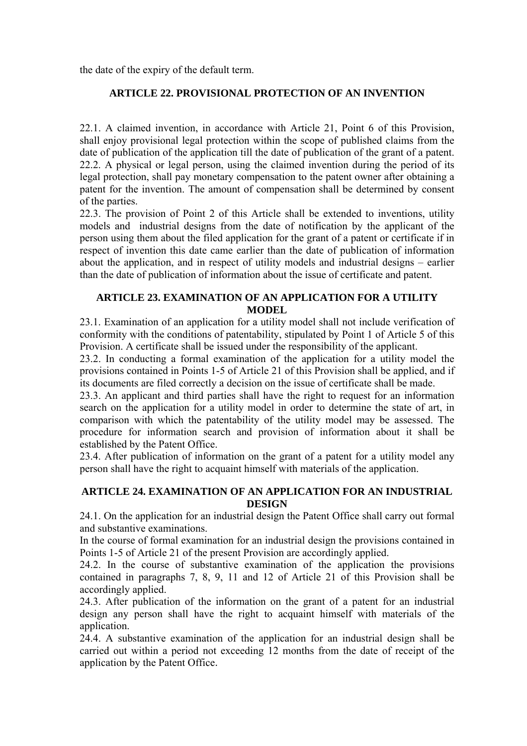the date of the expiry of the default term.

# **ARTICLE 22. PROVISIONAL PROTECTION OF AN INVENTION**

22.1. A claimed invention, in accordance with Article 21, Point 6 of this Provision, shall enjoy provisional legal protection within the scope of published claims from the date of publication of the application till the date of publication of the grant of a patent. 22.2. A physical or legal person, using the claimed invention during the period of its legal protection, shall pay monetary compensation to the patent owner after obtaining a patent for the invention. The amount of compensation shall be determined by consent of the parties.

22.3. The provision of Point 2 of this Article shall be extended to inventions, utility models and industrial designs from the date of notification by the applicant of the person using them about the filed application for the grant of a patent or certificate if in respect of invention this date came earlier than the date of publication of information about the application, and in respect of utility models and industrial designs – earlier than the date of publication of information about the issue of certificate and patent.

# **ARTICLE 23. EXAMINATION OF AN APPLICATION FOR A UTILITY MODEL**

23.1. Examination of an application for a utility model shall not include verification of conformity with the conditions of patentability, stipulated by Point 1 of Article 5 of this Provision. A certificate shall be issued under the responsibility of the applicant.

23.2. In conducting a formal examination of the application for a utility model the provisions contained in Points 1-5 of Article 21 of this Provision shall be applied, and if its documents are filed correctly a decision on the issue of certificate shall be made.

23.3. An applicant and third parties shall have the right to request for an information search on the application for a utility model in order to determine the state of art, in comparison with which the patentability of the utility model may be assessed. The procedure for information search and provision of information about it shall be established by the Patent Office.

23.4. After publication of information on the grant of a patent for a utility model any person shall have the right to acquaint himself with materials of the application.

## **ARTICLE 24. EXAMINATION OF AN APPLICATION FOR AN INDUSTRIAL DESIGN**

24.1. On the application for an industrial design the Patent Office shall carry out formal and substantive examinations.

In the course of formal examination for an industrial design the provisions contained in Points 1-5 of Article 21 of the present Provision are accordingly applied.

24.2. In the course of substantive examination of the application the provisions contained in paragraphs 7, 8, 9, 11 and 12 of Article 21 of this Provision shall be accordingly applied.

24.3. After publication of the information on the grant of a patent for an industrial design any person shall have the right to acquaint himself with materials of the application.

24.4. A substantive examination of the application for an industrial design shall be carried out within a period not exceeding 12 months from the date of receipt of the application by the Patent Office.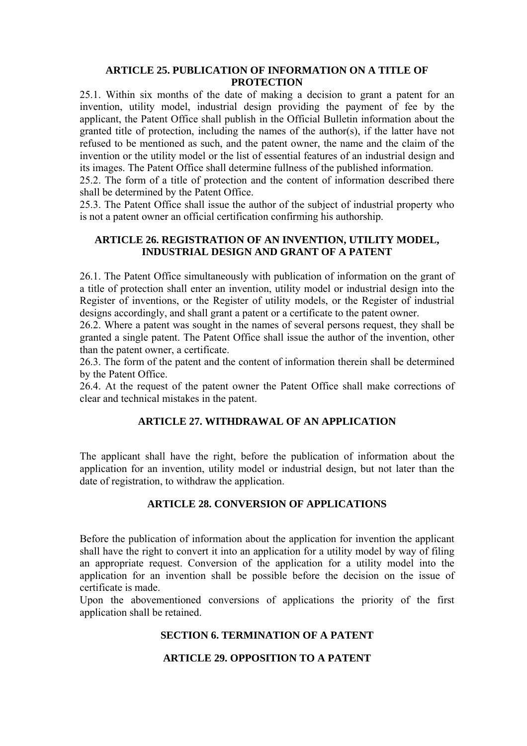### **ARTICLE 25. PUBLICATION OF INFORMATION ON A TITLE OF PROTECTION**

25.1. Within six months of the date of making a decision to grant a patent for an invention, utility model, industrial design providing the payment of fee by the applicant, the Patent Office shall publish in the Official Bulletin information about the granted title of protection, including the names of the author(s), if the latter have not refused to be mentioned as such, and the patent owner, the name and the claim of the invention or the utility model or the list of essential features of an industrial design and its images. The Patent Office shall determine fullness of the published information.

25.2. The form of a title of protection and the content of information described there shall be determined by the Patent Office.

25.3. The Patent Office shall issue the author of the subject of industrial property who is not a patent owner an official certification confirming his authorship.

## **ARTICLE 26. REGISTRATION OF AN INVENTION, UTILITY MODEL, INDUSTRIAL DESIGN AND GRANT OF A PATENT**

26.1. The Patent Office simultaneously with publication of information on the grant of a title of protection shall enter an invention, utility model or industrial design into the Register of inventions, or the Register of utility models, or the Register of industrial designs accordingly, and shall grant a patent or a certificate to the patent owner.

26.2. Where a patent was sought in the names of several persons request, they shall be granted a single patent. The Patent Office shall issue the author of the invention, other than the patent owner, a certificate.

26.3. The form of the patent and the content of information therein shall be determined by the Patent Office.

26.4. At the request of the patent owner the Patent Office shall make corrections of clear and technical mistakes in the patent.

# **ARTICLE 27. WITHDRAWAL OF AN APPLICATION**

The applicant shall have the right, before the publication of information about the application for an invention, utility model or industrial design, but not later than the date of registration, to withdraw the application.

# **ARTICLE 28. CONVERSION OF APPLICATIONS**

Before the publication of information about the application for invention the applicant shall have the right to convert it into an application for a utility model by way of filing an appropriate request. Conversion of the application for a utility model into the application for an invention shall be possible before the decision on the issue of certificate is made.

Upon the abovementioned conversions of applications the priority of the first application shall be retained.

## **SECTION 6. TERMINATION OF A PATENT**

### **ARTICLE 29. OPPOSITION TO A PATENT**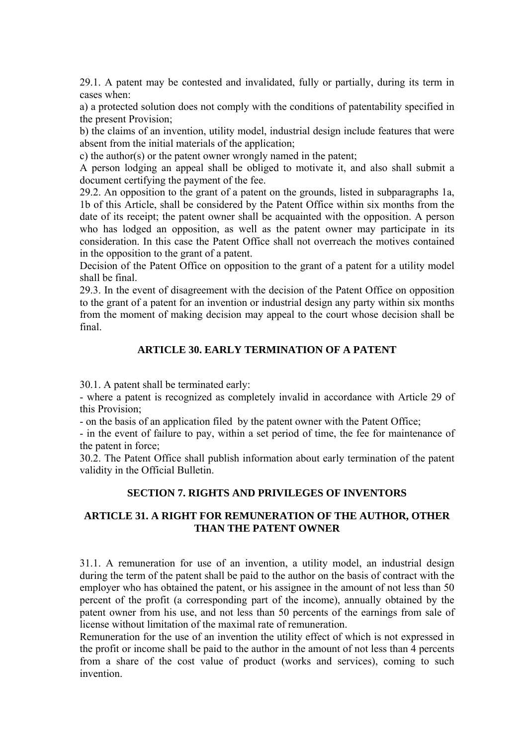29.1. A patent may be contested and invalidated, fully or partially, during its term in cases when:

a) a protected solution does not comply with the conditions of patentability specified in the present Provision;

b) the claims of an invention, utility model, industrial design include features that were absent from the initial materials of the application;

c) the author(s) or the patent owner wrongly named in the patent;

A person lodging an appeal shall be obliged to motivate it, and also shall submit a document certifying the payment of the fee.

29.2. An opposition to the grant of a patent on the grounds, listed in subparagraphs 1а, 1b of this Article, shall be considered by the Patent Office within six months from the date of its receipt; the patent owner shall be acquainted with the opposition. A person who has lodged an opposition, as well as the patent owner may participate in its consideration. In this case the Patent Office shall not overreach the motives contained in the opposition to the grant of a patent.

Decision of the Patent Office on opposition to the grant of a patent for a utility model shall be final.

29.3. In the event of disagreement with the decision of the Patent Office on opposition to the grant of a patent for an invention or industrial design any party within six months from the moment of making decision may appeal to the court whose decision shall be final.

## **ARTICLE 30. EARLY TERMINATION OF A PATENT**

30.1. A patent shall be terminated early:

- where a patent is recognized as completely invalid in accordance with Article 29 of this Provision;

- on the basis of an application filed by the patent owner with the Patent Office;

- in the event of failure to pay, within a set period of time, the fee for maintenance of the patent in force;

30.2. The Patent Office shall publish information about early termination of the patent validity in the Official Bulletin.

### **SECTION 7. RIGHTS AND PRIVILEGES OF INVENTORS**

# **ARTICLE 31. A RIGHT FOR REMUNERATION OF THE AUTHOR, OTHER THAN THE PATENT OWNER**

31.1. A remuneration for use of an invention, a utility model, an industrial design during the term of the patent shall be paid to the author on the basis of contract with the employer who has obtained the patent, or his assignee in the amount of not less than 50 percent of the profit (a corresponding part of the income), annually obtained by the patent owner from his use, and not less than 50 percents of the earnings from sale of license without limitation of the maximal rate of remuneration.

Remuneration for the use of an invention the utility effect of which is not expressed in the profit or income shall be paid to the author in the amount of not less than 4 percents from a share of the cost value of product (works and services), coming to such invention.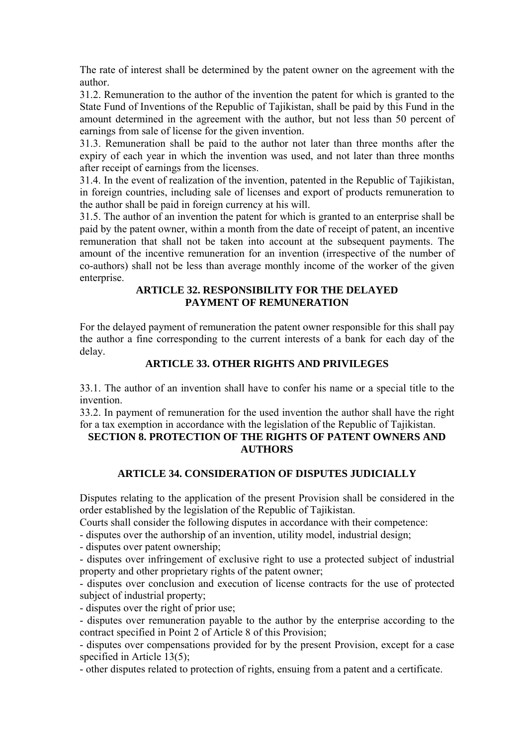The rate of interest shall be determined by the patent owner on the agreement with the author.

31.2. Remuneration to the author of the invention the patent for which is granted to the State Fund of Inventions of the Republic of Tajikistan, shall be paid by this Fund in the amount determined in the agreement with the author, but not less than 50 percent of earnings from sale of license for the given invention.

31.3. Remuneration shall be paid to the author not later than three months after the expiry of each year in which the invention was used, and not later than three months after receipt of earnings from the licenses.

31.4. In the event of realization of the invention, patented in the Republic of Tajikistan, in foreign countries, including sale of licenses and export of products remuneration to the author shall be paid in foreign currency at his will.

31.5. The author of an invention the patent for which is granted to an enterprise shall be paid by the patent owner, within a month from the date of receipt of patent, an incentive remuneration that shall not be taken into account at the subsequent payments. The amount of the incentive remuneration for an invention (irrespective of the number of co-authors) shall not be less than average monthly income of the worker of the given enterprise.

# **ARTICLE 32. RESPONSIBILITY FOR THE DELAYED PAYMENT OF REMUNERATION**

For the delayed payment of remuneration the patent owner responsible for this shall pay the author a fine corresponding to the current interests of a bank for each day of the delay.

# **ARTICLE 33. OTHER RIGHTS AND PRIVILEGES**

33.1. The author of an invention shall have to confer his name or a special title to the invention.

33.2. In payment of remuneration for the used invention the author shall have the right for a tax exemption in accordance with the legislation of the Republic of Tajikistan.

# **SECTION 8. PROTECTION OF THE RIGHTS OF PATENT OWNERS AND AUTHORS**

# **ARTICLE 34. CONSIDERATION OF DISPUTES JUDICIALLY**

Disputes relating to the application of the present Provision shall be considered in the order established by the legislation of the Republic of Tajikistan.

Courts shall consider the following disputes in accordance with their competence:

- disputes over the authorship of an invention, utility model, industrial design;

- disputes over patent ownership;

- disputes over infringement of exclusive right to use a protected subject of industrial property and other proprietary rights of the patent owner;

- disputes over conclusion and execution of license contracts for the use of protected subject of industrial property;

- disputes over the right of prior use;

- disputes over remuneration payable to the author by the enterprise according to the contract specified in Point 2 of Article 8 of this Provision;

- disputes over compensations provided for by the present Provision, except for a case specified in Article 13(5);

- other disputes related to protection of rights, ensuing from a patent and a certificate.